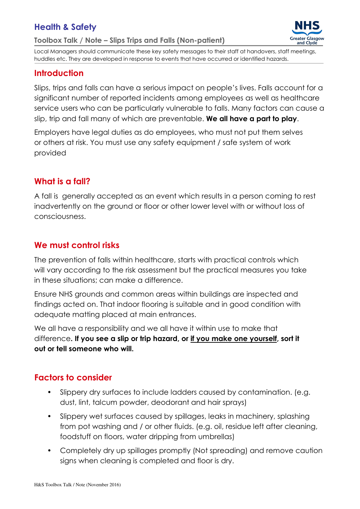# Health & Safety

Toolbox Talk / Note – Slips Trips and Falls (Non-patient)



Local Managers should communicate these key safety messages to their staff at handovers, staff meetings, huddles etc. They are developed in response to events that have occurred or identified hazards.

### **Introduction**

Slips, trips and falls can have a serious impact on people's lives. Falls account for a significant number of reported incidents among employees as well as healthcare service users who can be particularly vulnerable to falls. Many factors can cause a slip, trip and fall many of which are preventable. We all have a part to play.

Employers have legal duties as do employees, who must not put them selves or others at risk. You must use any safety equipment / safe system of work provided

#### What is a fall?

A fall is generally accepted as an event which results in a person coming to rest inadvertently on the ground or floor or other lower level with or without loss of consciousness.

### We must control risks

The prevention of falls within healthcare, starts with practical controls which will vary according to the risk assessment but the practical measures you take in these situations; can make a difference.

Ensure NHS grounds and common areas within buildings are inspected and findings acted on. That indoor flooring is suitable and in good condition with adequate matting placed at main entrances.

We all have a responsibility and we all have it within use to make that difference. If you see a slip or trip hazard, or if you make one yourself, sort it out or tell someone who will.

## Factors to consider

- Slippery dry surfaces to include ladders caused by contamination. (e.g. dust, lint, talcum powder, deodorant and hair sprays)
- Slippery wet surfaces caused by spillages, leaks in machinery, splashing from pot washing and / or other fluids. (e.g. oil, residue left after cleaning, foodstuff on floors, water dripping from umbrellas)
- Completely dry up spillages promptly (Not spreading) and remove caution signs when cleaning is completed and floor is dry.